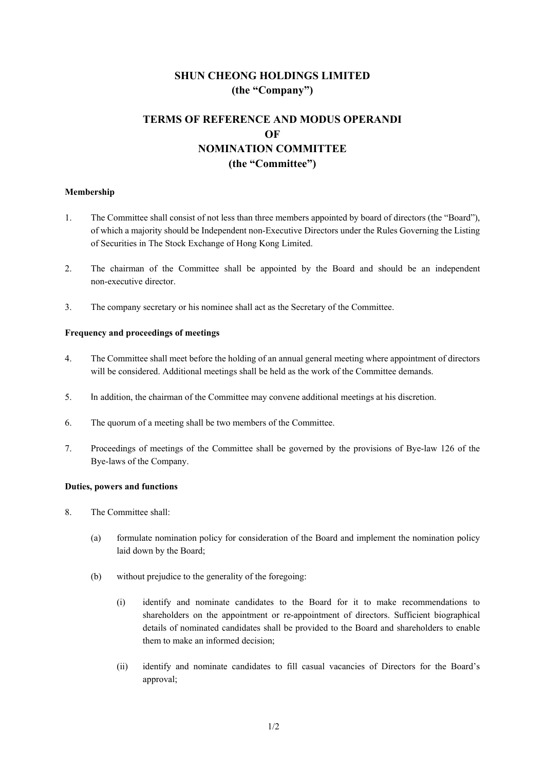# **SHUN CHEONG HOLDINGS LIMITED (the "Company")**

# **TERMS OF REFERENCE AND MODUS OPERANDI OF NOMINATION COMMITTEE (the "Committee")**

### **Membership**

- 1. The Committee shall consist of not less than three members appointed by board of directors (the "Board"), of which a majority should be Independent non-Executive Directors under the Rules Governing the Listing of Securities in The Stock Exchange of Hong Kong Limited.
- 2. The chairman of the Committee shall be appointed by the Board and should be an independent non-executive director.
- 3. The company secretary or his nominee shall act as the Secretary of the Committee.

## **Frequency and proceedings of meetings**

- 4. The Committee shall meet before the holding of an annual general meeting where appointment of directors will be considered. Additional meetings shall be held as the work of the Committee demands.
- 5. In addition, the chairman of the Committee may convene additional meetings at his discretion.
- 6. The quorum of a meeting shall be two members of the Committee.
- 7. Proceedings of meetings of the Committee shall be governed by the provisions of Bye-law 126 of the Bye-laws of the Company.

### **Duties, powers and functions**

- 8. The Committee shall:
	- (a) formulate nomination policy for consideration of the Board and implement the nomination policy laid down by the Board;
	- (b) without prejudice to the generality of the foregoing:
		- (i) identify and nominate candidates to the Board for it to make recommendations to shareholders on the appointment or re-appointment of directors. Sufficient biographical details of nominated candidates shall be provided to the Board and shareholders to enable them to make an informed decision;
		- (ii) identify and nominate candidates to fill casual vacancies of Directors for the Board's approval;